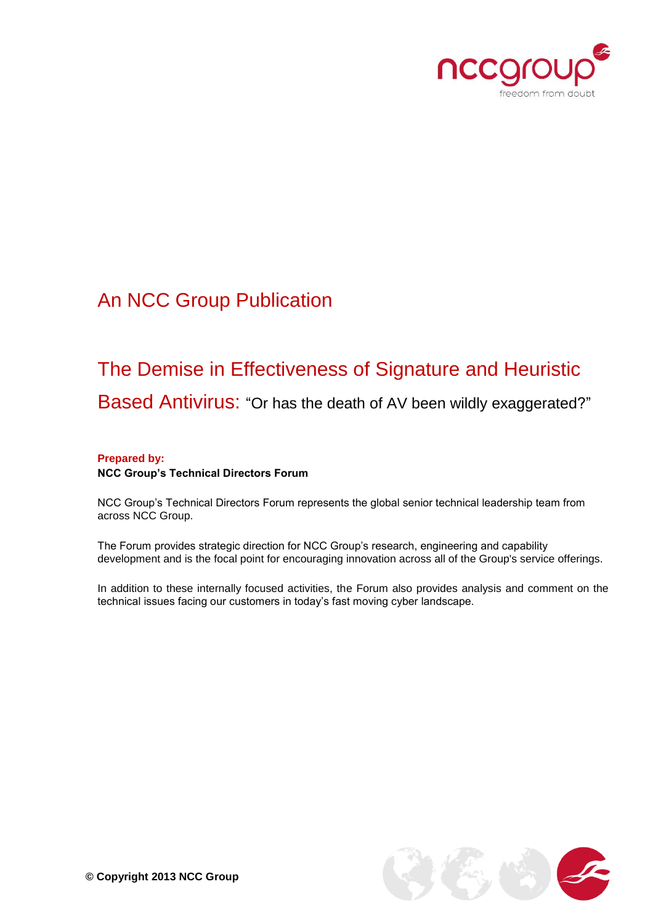

## An NCC Group Publication

# The Demise in Effectiveness of Signature and Heuristic

Based Antivirus: "Or has the death of AV been wildly exaggerated?"

#### **Prepared by: NCC Group's Technical Directors Forum**

NCC Group's Technical Directors Forum represents the global senior technical leadership team from across NCC Group.

The Forum provides strategic direction for NCC Group's research, engineering and capability development and is the focal point for encouraging innovation across all of the Group's service offerings.

In addition to these internally focused activities, the Forum also provides analysis and comment on the technical issues facing our customers in today's fast moving cyber landscape.

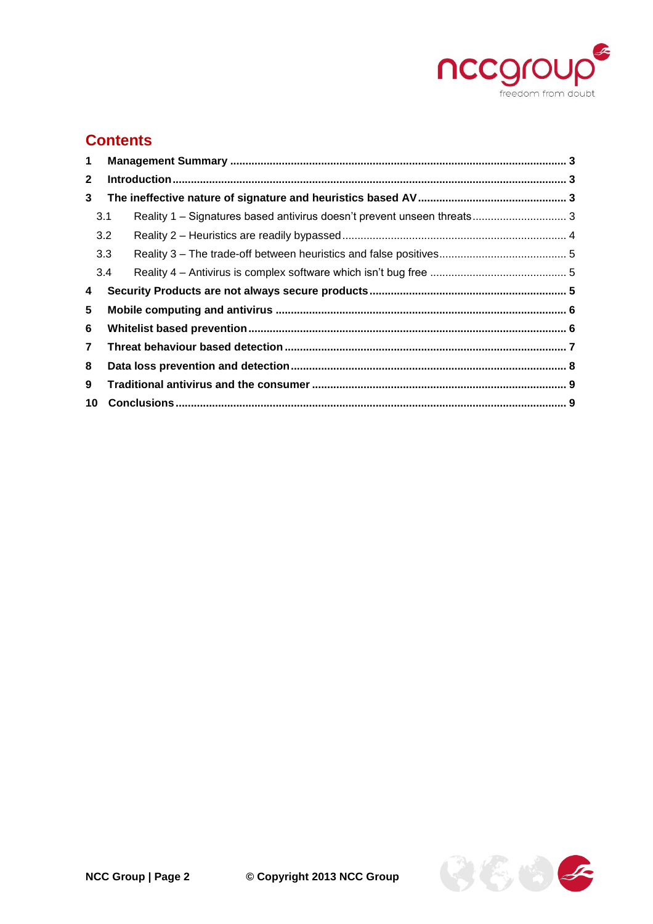

### **Contents**

| $\mathbf 1$    |     |  |  |  |  |
|----------------|-----|--|--|--|--|
| $\mathbf{2}$   |     |  |  |  |  |
| 3              |     |  |  |  |  |
|                | 3.1 |  |  |  |  |
|                | 3.2 |  |  |  |  |
|                | 3.3 |  |  |  |  |
|                | 3.4 |  |  |  |  |
| 4              |     |  |  |  |  |
| 5              |     |  |  |  |  |
| 6              |     |  |  |  |  |
| $\overline{7}$ |     |  |  |  |  |
| 8              |     |  |  |  |  |
| 9              |     |  |  |  |  |
| 10             |     |  |  |  |  |

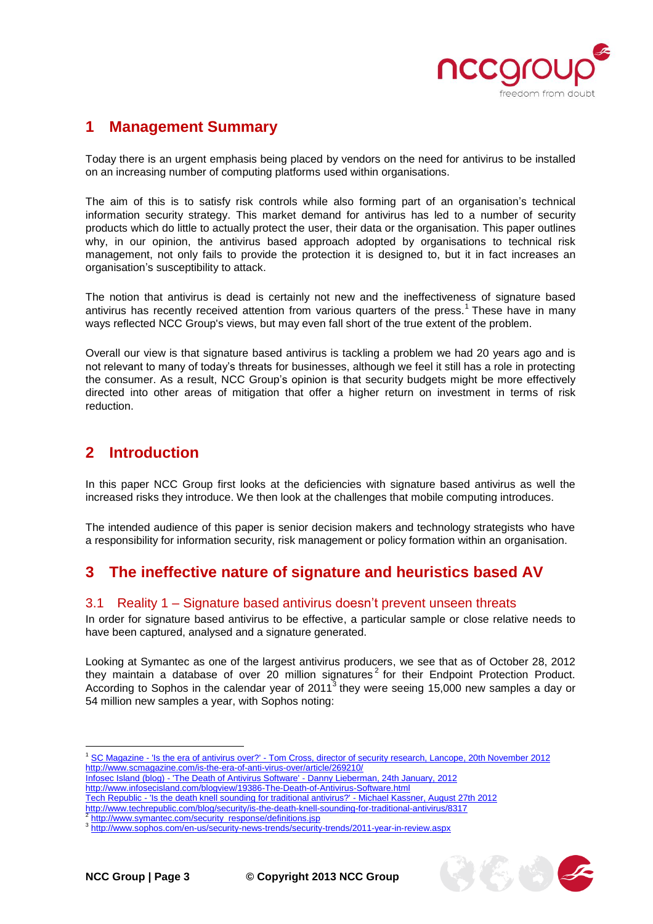

### <span id="page-2-0"></span>**1 Management Summary**

Today there is an urgent emphasis being placed by vendors on the need for antivirus to be installed on an increasing number of computing platforms used within organisations.

The aim of this is to satisfy risk controls while also forming part of an organisation's technical information security strategy. This market demand for antivirus has led to a number of security products which do little to actually protect the user, their data or the organisation. This paper outlines why, in our opinion, the antivirus based approach adopted by organisations to technical risk management, not only fails to provide the protection it is designed to, but it in fact increases an organisation's susceptibility to attack.

The notion that antivirus is dead is certainly not new and the ineffectiveness of signature based antivirus has recently received attention from various quarters of the press.<sup>1</sup> These have in many ways reflected NCC Group's views, but may even fall short of the true extent of the problem.

Overall our view is that signature based antivirus is tackling a problem we had 20 years ago and is not relevant to many of today's threats for businesses, although we feel it still has a role in protecting the consumer. As a result, NCC Group's opinion is that security budgets might be more effectively directed into other areas of mitigation that offer a higher return on investment in terms of risk reduction.

### <span id="page-2-1"></span>**2 Introduction**

In this paper NCC Group first looks at the deficiencies with signature based antivirus as well the increased risks they introduce. We then look at the challenges that mobile computing introduces.

The intended audience of this paper is senior decision makers and technology strategists who have a responsibility for information security, risk management or policy formation within an organisation.

### <span id="page-2-2"></span>**3 The ineffective nature of signature and heuristics based AV**

#### <span id="page-2-3"></span>3.1 Reality 1 – Signature based antivirus doesn't prevent unseen threats

In order for signature based antivirus to be effective, a particular sample or close relative needs to have been captured, analysed and a signature generated.

Looking at Symantec as one of the largest antivirus producers, we see that as of October 28, 2012 they maintain a database of over 20 million signatures<sup>2</sup> for their Endpoint Protection Product. According to Sophos in the calendar year of 2011<sup>3</sup> they were seeing 15,000 new samples a day or 54 million new samples a year, with Sophos noting:

<sup>1</sup> SC Magazine - 'Is the era of antivirus over?' - Tom Cross, director of security research, Lancope, 20th November 2012 http://www.scmagazine.com/is-the-era-of-anti-virus-over/article/269210/

Infosec Island (blog) - 'The Death of Antivirus Software' - Danny Lieberman, 24th January, 2012

http://www.infosecisland.com/blogview/19386-The-Death-of-Antivirus-Software.html

Tech Republic - 'Is the death knell sounding for traditional antivirus?' - Michael Kassner, August 27th 2012

http://www.techrepublic.com/blog/security/is-the-death-knell-sounding-for-traditional-antivirus/8317<br>2 http://www.eymontee.com/coeurity\_reepense/definitions.iep

[http://www.symantec.com/security\\_response/definitions.jsp](http://www.symantec.com/security_response/definitions.jsp)

<sup>&</sup>lt;sup>3</sup> <http://www.sophos.com/en-us/security-news-trends/security-trends/2011-year-in-review.aspx>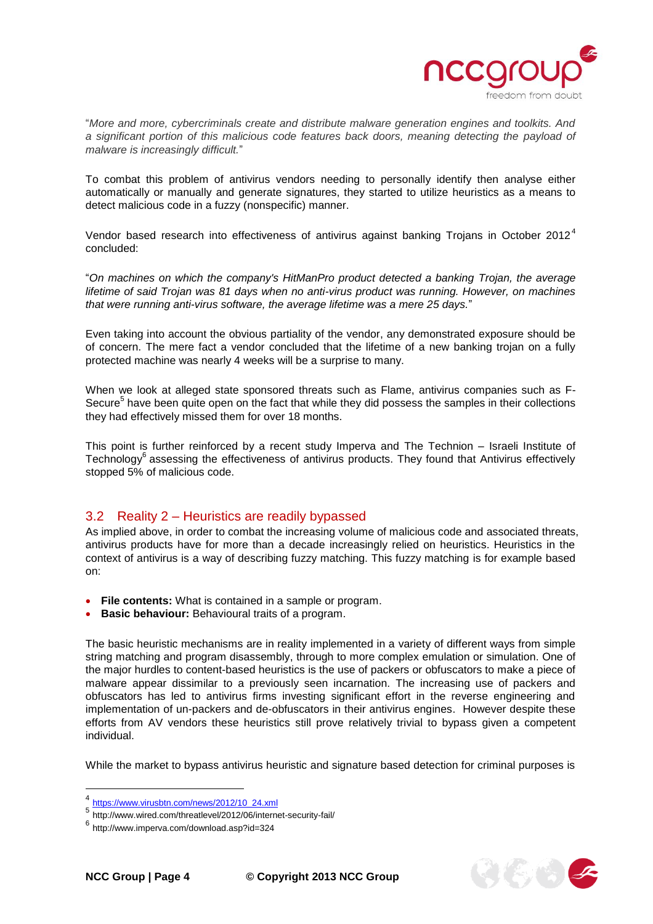

传统。

"*More and more, cybercriminals create and distribute malware generation engines and toolkits. And a significant portion of this malicious code features back doors, meaning detecting the payload of malware is increasingly difficult.*"

To combat this problem of antivirus vendors needing to personally identify then analyse either automatically or manually and generate signatures, they started to utilize heuristics as a means to detect malicious code in a fuzzy (nonspecific) manner.

Vendor based research into effectiveness of antivirus against banking Trojans in October 2012<sup>4</sup> concluded:

"*On machines on which the company's HitManPro product detected a banking Trojan, the average lifetime of said Trojan was 81 days when no anti-virus product was running. However, on machines that were running anti-virus software, the average lifetime was a mere 25 days.*"

Even taking into account the obvious partiality of the vendor, any demonstrated exposure should be of concern. The mere fact a vendor concluded that the lifetime of a new banking trojan on a fully protected machine was nearly 4 weeks will be a surprise to many.

When we look at alleged state sponsored threats such as Flame, antivirus companies such as F-Secure<sup>5</sup> have been quite open on the fact that while they did possess the samples in their collections they had effectively missed them for over 18 months.

This point is further reinforced by a recent study Imperva and The Technion – Israeli Institute of Technology<sup>6</sup> assessing the effectiveness of antivirus products. They found that Antivirus effectively stopped 5% of malicious code.

#### <span id="page-3-0"></span>3.2 Reality 2 – Heuristics are readily bypassed

As implied above, in order to combat the increasing volume of malicious code and associated threats, antivirus products have for more than a decade increasingly relied on heuristics. Heuristics in the context of antivirus is a way of describing fuzzy matching. This fuzzy matching is for example based on:

- **File contents:** What is contained in a sample or program.
- **Basic behaviour:** Behavioural traits of a program.

The basic heuristic mechanisms are in reality implemented in a variety of different ways from simple string matching and program disassembly, through to more complex emulation or simulation. One of the major hurdles to content-based heuristics is the use of packers or obfuscators to make a piece of malware appear dissimilar to a previously seen incarnation. The increasing use of packers and obfuscators has led to antivirus firms investing significant effort in the reverse engineering and implementation of un-packers and de-obfuscators in their antivirus engines. However despite these efforts from AV vendors these heuristics still prove relatively trivial to bypass given a competent individual.

While the market to bypass antivirus heuristic and signature based detection for criminal purposes is

<sup>4</sup> [https://www.virusbtn.com/news/2012/10\\_24.xml](https://www.virusbtn.com/news/2012/10_24.xml)

<sup>5</sup> http://www.wired.com/threatlevel/2012/06/internet-security-fail/

<sup>6</sup> http://www.imperva.com/download.asp?id=324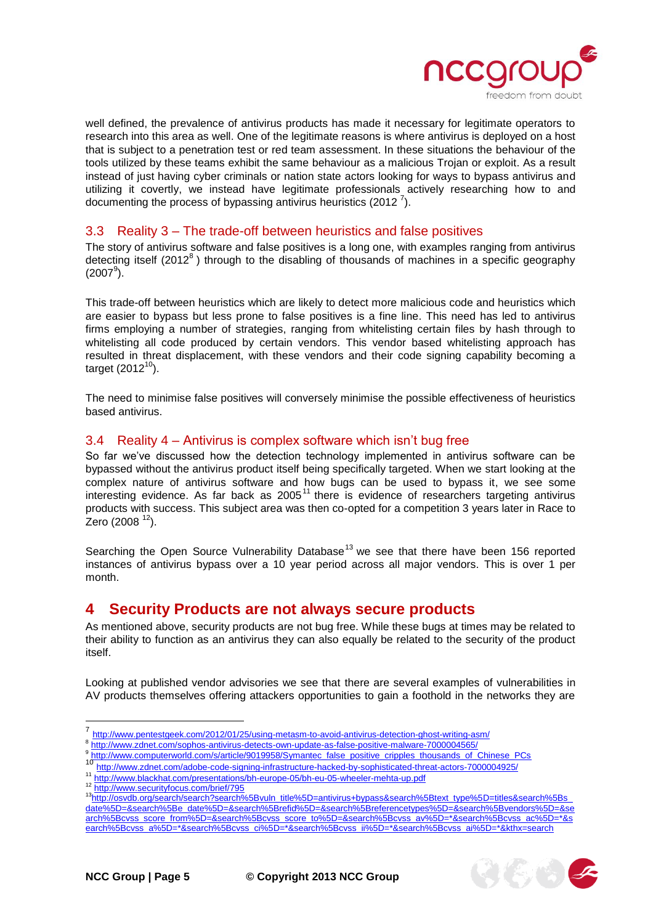

well defined, the prevalence of antivirus products has made it necessary for legitimate operators to research into this area as well. One of the legitimate reasons is where antivirus is deployed on a host that is subject to a penetration test or red team assessment. In these situations the behaviour of the tools utilized by these teams exhibit the same behaviour as a malicious Trojan or exploit. As a result instead of just having cyber criminals or nation state actors looking for ways to bypass antivirus and utilizing it covertly, we instead have legitimate professionals actively researching how to and documenting the process of bypassing antivirus heuristics (2012<sup>7</sup>).

#### <span id="page-4-0"></span>3.3 Reality 3 – The trade-off between heuristics and false positives

The story of antivirus software and false positives is a long one, with examples ranging from antivirus detecting itself (2012<sup>8</sup>) through to the disabling of thousands of machines in a specific geography  $(2007^9)$ .

This trade-off between heuristics which are likely to detect more malicious code and heuristics which are easier to bypass but less prone to false positives is a fine line. This need has led to antivirus firms employing a number of strategies, ranging from whitelisting certain files by hash through to whitelisting all code produced by certain vendors. This vendor based whitelisting approach has resulted in threat displacement, with these vendors and their code signing capability becoming a target  $(2012^{10})$ .

The need to minimise false positives will conversely minimise the possible effectiveness of heuristics based antivirus.

#### <span id="page-4-1"></span>3.4 Reality 4 – Antivirus is complex software which isn't bug free

So far we've discussed how the detection technology implemented in antivirus software can be bypassed without the antivirus product itself being specifically targeted. When we start looking at the complex nature of antivirus software and how bugs can be used to bypass it, we see some interesting evidence. As far back as  $2005<sup>11</sup>$  there is evidence of researchers targeting antivirus products with success. This subject area was then co-opted for a competition 3 years later in Race to Zero (2008 $12$ ).

Searching the Open Source Vulnerability Database<sup>13</sup> we see that there have been 156 reported instances of antivirus bypass over a 10 year period across all major vendors. This is over 1 per month.

#### <span id="page-4-2"></span>**4 Security Products are not always secure products**

As mentioned above, security products are not bug free. While these bugs at times may be related to their ability to function as an antivirus they can also equally be related to the security of the product itself.

Looking at published vendor advisories we see that there are several examples of vulnerabilities in AV products themselves offering attackers opportunities to gain a foothold in the networks they are

<sup>10</sup> <http://www.zdnet.com/adobe-code-signing-infrastructure-hacked-by-sophisticated-threat-actors-7000004925/>

<http://www.securityfocus.com/brief/795>

<sup>7</sup> <http://www.pentestgeek.com/2012/01/25/using-metasm-to-avoid-antivirus-detection-ghost-writing-asm/>

<sup>8</sup> <http://www.zdnet.com/sophos-antivirus-detects-own-update-as-false-positive-malware-7000004565/>

<sup>&</sup>lt;sup>9</sup> [http://www.computerworld.com/s/article/9019958/Symantec\\_false\\_positive\\_cripples\\_thousands\\_of\\_Chinese\\_PCs](http://www.computerworld.com/s/article/9019958/Symantec_false_positive_cripples_thousands_of_Chinese_PCs)

<sup>11</sup> <http://www.blackhat.com/presentations/bh-europe-05/bh-eu-05-wheeler-mehta-up.pdf><br>12 http://www.blackhat.com/presentations/bh-europe-05/bh-eu-05-wheeler-mehta-up.pdf

<sup>13</sup>[http://osvdb.org/search/search?search%5Bvuln\\_title%5D=antivirus+bypass&search%5Btext\\_type%5D=titles&search%5Bs\\_](http://osvdb.org/search/search?search%5Bvuln_title%5D=antivirus+bypass&search%5Btext_type%5D=titles&search%5Bs_date%5D=&search%5Be_date%5D=&search%5Brefid%5D=&search%5Breferencetypes%5D=&search%5Bvendors%5D=&search%5Bcvss_score_from%5D=&search%5Bcvss_score_to%5D=&search%5Bcvss_av%5D=*&search%5Bcvss_ac%5D=*&search%5Bcvss_a%5D=*&search%5Bcvss_ci%5D=*&search%5Bcvss_ii%5D=*&search%5Bcvss_ai%5D=*&kthx=search) [date%5D=&search%5Be\\_date%5D=&search%5Brefid%5D=&search%5Breferencetypes%5D=&search%5Bvendors%5D=&se](http://osvdb.org/search/search?search%5Bvuln_title%5D=antivirus+bypass&search%5Btext_type%5D=titles&search%5Bs_date%5D=&search%5Be_date%5D=&search%5Brefid%5D=&search%5Breferencetypes%5D=&search%5Bvendors%5D=&search%5Bcvss_score_from%5D=&search%5Bcvss_score_to%5D=&search%5Bcvss_av%5D=*&search%5Bcvss_ac%5D=*&search%5Bcvss_a%5D=*&search%5Bcvss_ci%5D=*&search%5Bcvss_ii%5D=*&search%5Bcvss_ai%5D=*&kthx=search) [arch%5Bcvss\\_score\\_from%5D=&search%5Bcvss\\_score\\_to%5D=&search%5Bcvss\\_av%5D=\\*&search%5Bcvss\\_ac%5D=\\*&s](http://osvdb.org/search/search?search%5Bvuln_title%5D=antivirus+bypass&search%5Btext_type%5D=titles&search%5Bs_date%5D=&search%5Be_date%5D=&search%5Brefid%5D=&search%5Breferencetypes%5D=&search%5Bvendors%5D=&search%5Bcvss_score_from%5D=&search%5Bcvss_score_to%5D=&search%5Bcvss_av%5D=*&search%5Bcvss_ac%5D=*&search%5Bcvss_a%5D=*&search%5Bcvss_ci%5D=*&search%5Bcvss_ii%5D=*&search%5Bcvss_ai%5D=*&kthx=search) [earch%5Bcvss\\_a%5D=\\*&search%5Bcvss\\_ci%5D=\\*&search%5Bcvss\\_ii%5D=\\*&search%5Bcvss\\_ai%5D=\\*&kthx=search](http://osvdb.org/search/search?search%5Bvuln_title%5D=antivirus+bypass&search%5Btext_type%5D=titles&search%5Bs_date%5D=&search%5Be_date%5D=&search%5Brefid%5D=&search%5Breferencetypes%5D=&search%5Bvendors%5D=&search%5Bcvss_score_from%5D=&search%5Bcvss_score_to%5D=&search%5Bcvss_av%5D=*&search%5Bcvss_ac%5D=*&search%5Bcvss_a%5D=*&search%5Bcvss_ci%5D=*&search%5Bcvss_ii%5D=*&search%5Bcvss_ai%5D=*&kthx=search)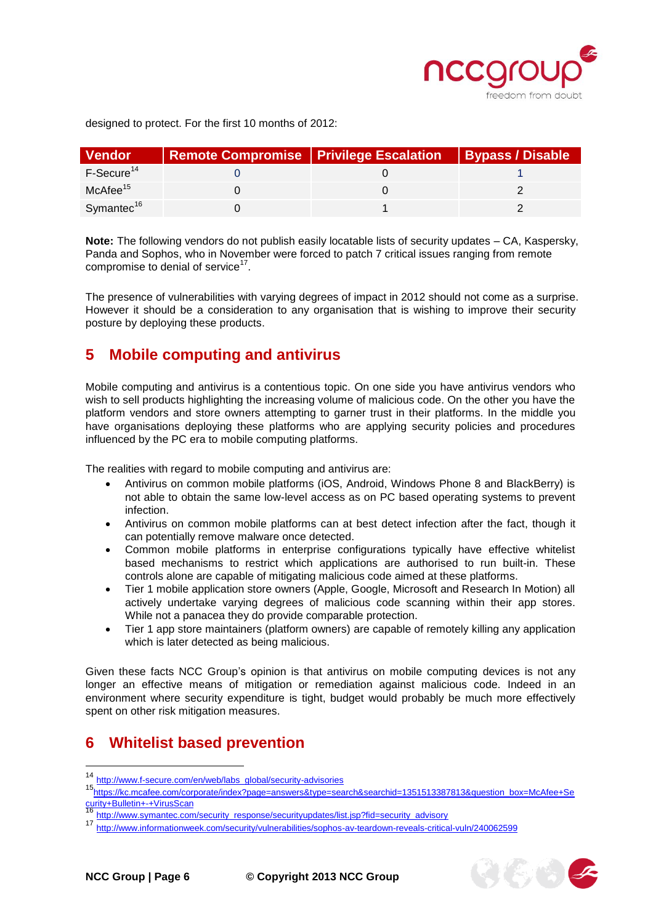

传奇

designed to protect. For the first 10 months of 2012:

| <b>Vendor</b>          | <b>Remote Compromise   Privilege Escalation  </b> | <b>Bypass / Disable</b> |
|------------------------|---------------------------------------------------|-------------------------|
| F-Secure <sup>14</sup> |                                                   |                         |
| $McAfee^{15}$          |                                                   |                         |
| Symantec <sup>16</sup> |                                                   |                         |

**Note:** The following vendors do not publish easily locatable lists of security updates – CA, Kaspersky, Panda and Sophos, who in November were forced to patch 7 critical issues ranging from remote compromise to denial of service $^{17}$ .

The presence of vulnerabilities with varying degrees of impact in 2012 should not come as a surprise. However it should be a consideration to any organisation that is wishing to improve their security posture by deploying these products.

### <span id="page-5-0"></span>**5 Mobile computing and antivirus**

Mobile computing and antivirus is a contentious topic. On one side you have antivirus vendors who wish to sell products highlighting the increasing volume of malicious code. On the other you have the platform vendors and store owners attempting to garner trust in their platforms. In the middle you have organisations deploying these platforms who are applying security policies and procedures influenced by the PC era to mobile computing platforms.

The realities with regard to mobile computing and antivirus are:

- Antivirus on common mobile platforms (iOS, Android, Windows Phone 8 and BlackBerry) is not able to obtain the same low-level access as on PC based operating systems to prevent infection.
- Antivirus on common mobile platforms can at best detect infection after the fact, though it can potentially remove malware once detected.
- Common mobile platforms in enterprise configurations typically have effective whitelist based mechanisms to restrict which applications are authorised to run built-in. These controls alone are capable of mitigating malicious code aimed at these platforms.
- Tier 1 mobile application store owners (Apple, Google, Microsoft and Research In Motion) all actively undertake varying degrees of malicious code scanning within their app stores. While not a panacea they do provide comparable protection.
- Tier 1 app store maintainers (platform owners) are capable of remotely killing any application which is later detected as being malicious.

Given these facts NCC Group's opinion is that antivirus on mobile computing devices is not any longer an effective means of mitigation or remediation against malicious code. Indeed in an environment where security expenditure is tight, budget would probably be much more effectively spent on other risk mitigation measures.

### <span id="page-5-1"></span>**6 Whitelist based prevention**

<sup>-</sup>

<sup>14</sup> [http://www.f-secure.com/en/web/labs\\_global/security-advisories](http://www.f-secure.com/en/web/labs_global/security-advisories)

<sup>15</sup>[https://kc.mcafee.com/corporate/index?page=answers&type=search&searchid=1351513387813&question\\_box=McAfee+Se](https://kc.mcafee.com/corporate/index?page=answers&type=search&searchid=1351513387813&question_box=McAfee+Security+Bulletin+-+VirusScan) [curity+Bulletin+-+VirusScan](https://kc.mcafee.com/corporate/index?page=answers&type=search&searchid=1351513387813&question_box=McAfee+Security+Bulletin+-+VirusScan)

<sup>&</sup>lt;sup>16</sup> [http://www.symantec.com/security\\_response/securityupdates/list.jsp?fid=security\\_advisory](http://www.symantec.com/security_response/securityupdates/list.jsp?fid=security_advisory)<br>17 http://www.symantec.com/security/response/securityupdates/list.jsp?fid=security\_advisory

<sup>17</sup> <http://www.informationweek.com/security/vulnerabilities/sophos-av-teardown-reveals-critical-vuln/240062599>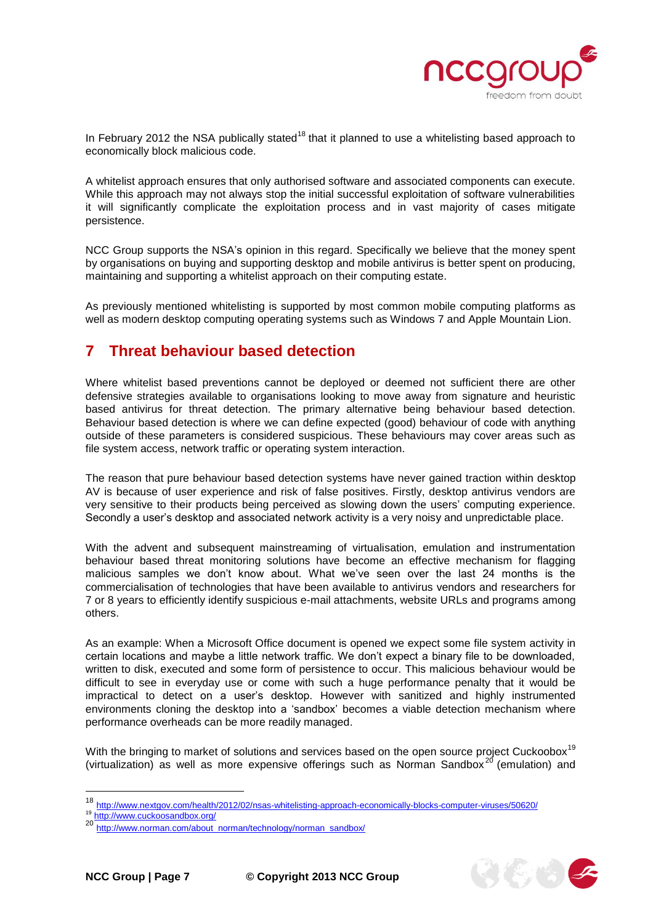

 $25 - 2$ 

In February 2012 the NSA publically stated<sup>18</sup> that it planned to use a whitelisting based approach to economically block malicious code.

A whitelist approach ensures that only authorised software and associated components can execute. While this approach may not always stop the initial successful exploitation of software vulnerabilities it will significantly complicate the exploitation process and in vast majority of cases mitigate persistence.

NCC Group supports the NSA's opinion in this regard. Specifically we believe that the money spent by organisations on buying and supporting desktop and mobile antivirus is better spent on producing, maintaining and supporting a whitelist approach on their computing estate.

As previously mentioned whitelisting is supported by most common mobile computing platforms as well as modern desktop computing operating systems such as Windows 7 and Apple Mountain Lion.

### <span id="page-6-0"></span>**7 Threat behaviour based detection**

Where whitelist based preventions cannot be deployed or deemed not sufficient there are other defensive strategies available to organisations looking to move away from signature and heuristic based antivirus for threat detection. The primary alternative being behaviour based detection. Behaviour based detection is where we can define expected (good) behaviour of code with anything outside of these parameters is considered suspicious. These behaviours may cover areas such as file system access, network traffic or operating system interaction.

The reason that pure behaviour based detection systems have never gained traction within desktop AV is because of user experience and risk of false positives. Firstly, desktop antivirus vendors are very sensitive to their products being perceived as slowing down the users' computing experience. Secondly a user's desktop and associated network activity is a very noisy and unpredictable place.

With the advent and subsequent mainstreaming of virtualisation, emulation and instrumentation behaviour based threat monitoring solutions have become an effective mechanism for flagging malicious samples we don't know about. What we've seen over the last 24 months is the commercialisation of technologies that have been available to antivirus vendors and researchers for 7 or 8 years to efficiently identify suspicious e-mail attachments, website URLs and programs among others.

As an example: When a Microsoft Office document is opened we expect some file system activity in certain locations and maybe a little network traffic. We don't expect a binary file to be downloaded, written to disk, executed and some form of persistence to occur. This malicious behaviour would be difficult to see in everyday use or come with such a huge performance penalty that it would be impractical to detect on a user's desktop. However with sanitized and highly instrumented environments cloning the desktop into a 'sandbox' becomes a viable detection mechanism where performance overheads can be more readily managed.

With the bringing to market of solutions and services based on the open source project Cuckoobox<sup>19</sup> (virtualization) as well as more expensive offerings such as Norman Sandbox<sup>20</sup> (emulation) and

<sup>18</sup> <http://www.nextgov.com/health/2012/02/nsas-whitelisting-approach-economically-blocks-computer-viruses/50620/>

<sup>19</sup> <http://www.cuckoosandbox.org/>

[http://www.norman.com/about\\_norman/technology/norman\\_sandbox/](http://www.norman.com/about_norman/technology/norman_sandbox/)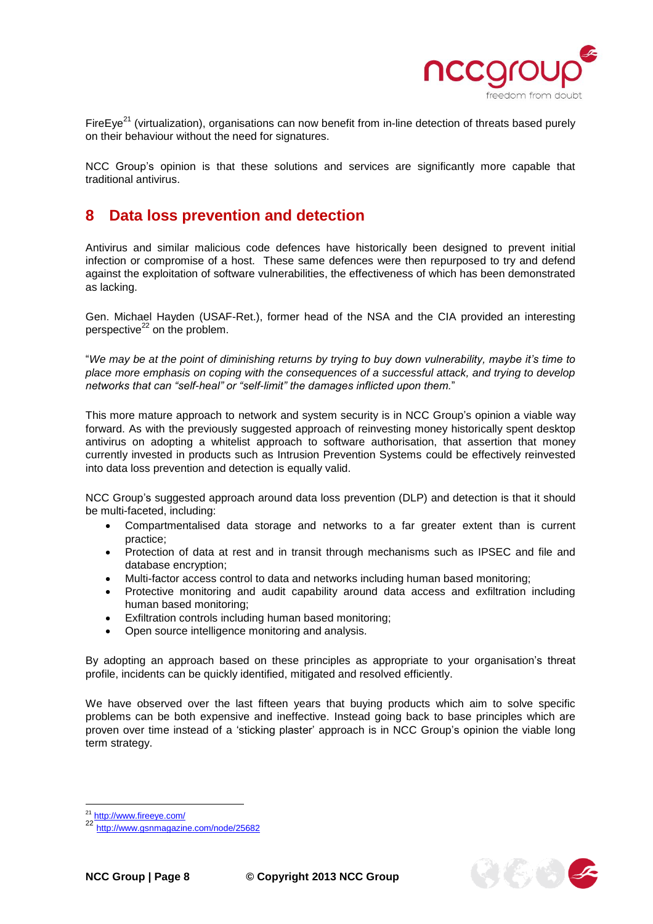

そもらく

FireEye<sup>21</sup> (virtualization), organisations can now benefit from in-line detection of threats based purely on their behaviour without the need for signatures.

NCC Group's opinion is that these solutions and services are significantly more capable that traditional antivirus.

### <span id="page-7-0"></span>**8 Data loss prevention and detection**

Antivirus and similar malicious code defences have historically been designed to prevent initial infection or compromise of a host. These same defences were then repurposed to try and defend against the exploitation of software vulnerabilities, the effectiveness of which has been demonstrated as lacking.

Gen. Michael Hayden (USAF-Ret.), former head of the NSA and the CIA provided an interesting perspective $^{22}$  on the problem.

"*We may be at the point of diminishing returns by trying to buy down vulnerability, maybe it's time to place more emphasis on coping with the consequences of a successful attack, and trying to develop networks that can "self-heal" or "self-limit" the damages inflicted upon them.*"

This more mature approach to network and system security is in NCC Group's opinion a viable way forward. As with the previously suggested approach of reinvesting money historically spent desktop antivirus on adopting a whitelist approach to software authorisation, that assertion that money currently invested in products such as Intrusion Prevention Systems could be effectively reinvested into data loss prevention and detection is equally valid.

NCC Group's suggested approach around data loss prevention (DLP) and detection is that it should be multi-faceted, including:

- Compartmentalised data storage and networks to a far greater extent than is current practice;
- Protection of data at rest and in transit through mechanisms such as IPSEC and file and database encryption;
- Multi-factor access control to data and networks including human based monitoring;
- Protective monitoring and audit capability around data access and exfiltration including human based monitoring;
- Exfiltration controls including human based monitoring;
- Open source intelligence monitoring and analysis.

By adopting an approach based on these principles as appropriate to your organisation's threat profile, incidents can be quickly identified, mitigated and resolved efficiently.

We have observed over the last fifteen years that buying products which aim to solve specific problems can be both expensive and ineffective. Instead going back to base principles which are proven over time instead of a 'sticking plaster' approach is in NCC Group's opinion the viable long term strategy.

<sup>&</sup>lt;sup>21</sup> <http://www.fireeye.com/>

<sup>22</sup> <http://www.gsnmagazine.com/node/25682>